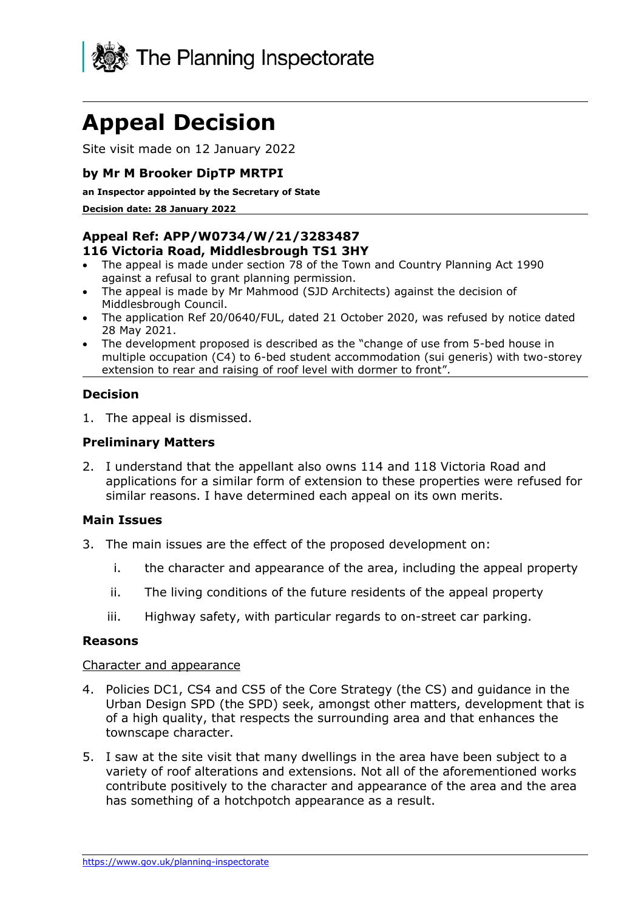

# **Appeal Decision**

Site visit made on 12 January 2022

# **by Mr M Brooker DipTP MRTPI**

#### **an Inspector appointed by the Secretary of State**

**Decision date: 28 January 2022**

#### **Appeal Ref: APP/W0734/W/21/3283487 116 Victoria Road, Middlesbrough TS1 3HY**

- The appeal is made under section 78 of the Town and Country Planning Act 1990 against a refusal to grant planning permission.
- The appeal is made by Mr Mahmood (SJD Architects) against the decision of Middlesbrough Council.
- The application Ref 20/0640/FUL, dated 21 October 2020, was refused by notice dated 28 May 2021.
- The development proposed is described as the "change of use from 5-bed house in multiple occupation (C4) to 6-bed student accommodation (sui generis) with two-storey extension to rear and raising of roof level with dormer to front".

## **Decision**

1. The appeal is dismissed.

## **Preliminary Matters**

2. I understand that the appellant also owns 114 and 118 Victoria Road and applications for a similar form of extension to these properties were refused for similar reasons. I have determined each appeal on its own merits.

## **Main Issues**

- 3. The main issues are the effect of the proposed development on:
	- i. the character and appearance of the area, including the appeal property
	- ii. The living conditions of the future residents of the appeal property
	- iii. Highway safety, with particular regards to on-street car parking.

#### **Reasons**

#### Character and appearance

- 4. Policies DC1, CS4 and CS5 of the Core Strategy (the CS) and guidance in the Urban Design SPD (the SPD) seek, amongst other matters, development that is of a high quality, that respects the surrounding area and that enhances the townscape character.
- 5. I saw at the site visit that many dwellings in the area have been subject to a variety of roof alterations and extensions. Not all of the aforementioned works contribute positively to the character and appearance of the area and the area has something of a hotchpotch appearance as a result.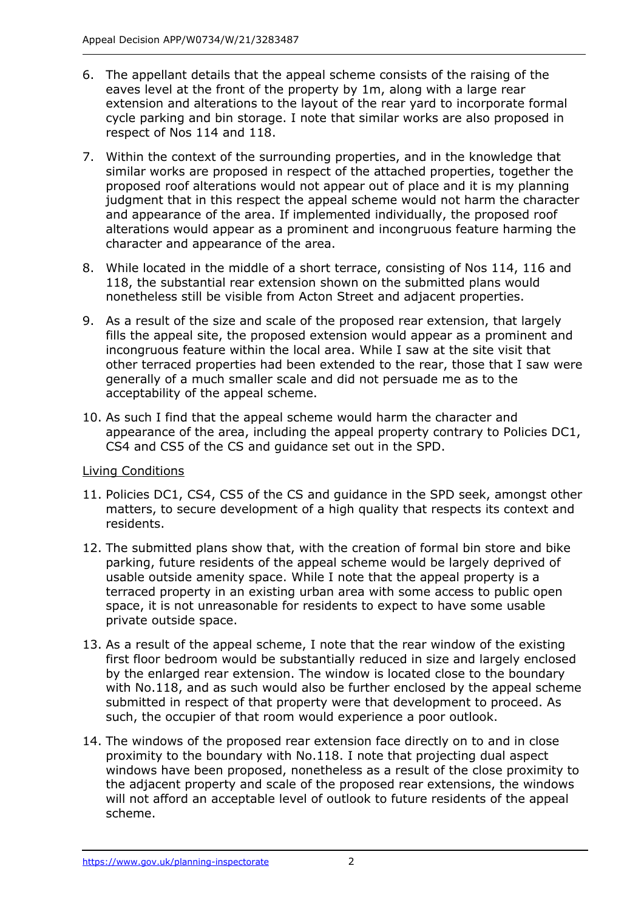- 6. The appellant details that the appeal scheme consists of the raising of the eaves level at the front of the property by 1m, along with a large rear extension and alterations to the layout of the rear yard to incorporate formal cycle parking and bin storage. I note that similar works are also proposed in respect of Nos 114 and 118.
- 7. Within the context of the surrounding properties, and in the knowledge that similar works are proposed in respect of the attached properties, together the proposed roof alterations would not appear out of place and it is my planning judgment that in this respect the appeal scheme would not harm the character and appearance of the area. If implemented individually, the proposed roof alterations would appear as a prominent and incongruous feature harming the character and appearance of the area.
- 8. While located in the middle of a short terrace, consisting of Nos 114, 116 and 118, the substantial rear extension shown on the submitted plans would nonetheless still be visible from Acton Street and adjacent properties.
- 9. As a result of the size and scale of the proposed rear extension, that largely fills the appeal site, the proposed extension would appear as a prominent and incongruous feature within the local area. While I saw at the site visit that other terraced properties had been extended to the rear, those that I saw were generally of a much smaller scale and did not persuade me as to the acceptability of the appeal scheme.
- 10. As such I find that the appeal scheme would harm the character and appearance of the area, including the appeal property contrary to Policies DC1, CS4 and CS5 of the CS and guidance set out in the SPD.

# Living Conditions

- 11. Policies DC1, CS4, CS5 of the CS and guidance in the SPD seek, amongst other matters, to secure development of a high quality that respects its context and residents.
- 12. The submitted plans show that, with the creation of formal bin store and bike parking, future residents of the appeal scheme would be largely deprived of usable outside amenity space. While I note that the appeal property is a terraced property in an existing urban area with some access to public open space, it is not unreasonable for residents to expect to have some usable private outside space.
- 13. As a result of the appeal scheme, I note that the rear window of the existing first floor bedroom would be substantially reduced in size and largely enclosed by the enlarged rear extension. The window is located close to the boundary with No.118, and as such would also be further enclosed by the appeal scheme submitted in respect of that property were that development to proceed. As such, the occupier of that room would experience a poor outlook.
- 14. The windows of the proposed rear extension face directly on to and in close proximity to the boundary with No.118. I note that projecting dual aspect windows have been proposed, nonetheless as a result of the close proximity to the adjacent property and scale of the proposed rear extensions, the windows will not afford an acceptable level of outlook to future residents of the appeal scheme.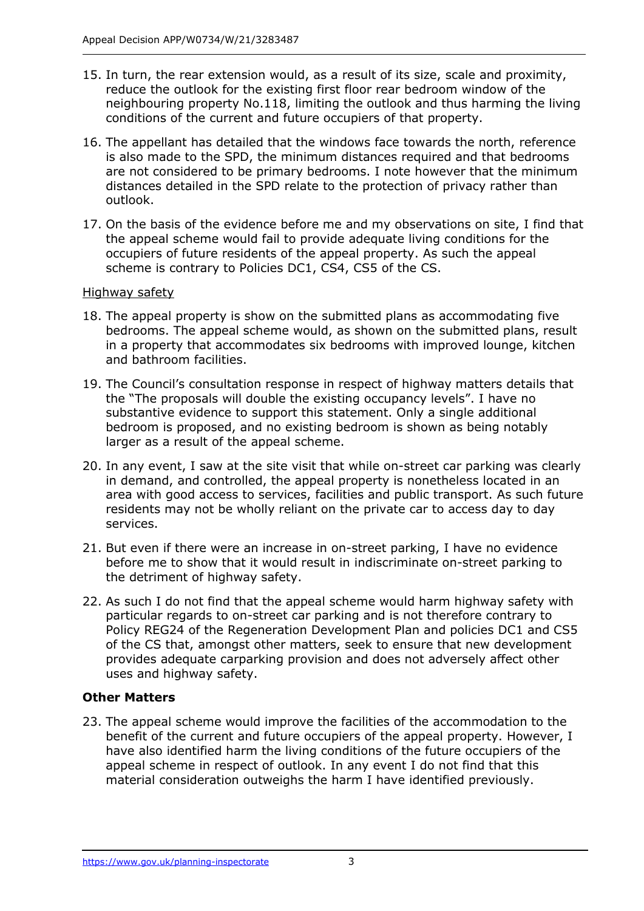- 15. In turn, the rear extension would, as a result of its size, scale and proximity, reduce the outlook for the existing first floor rear bedroom window of the neighbouring property No.118, limiting the outlook and thus harming the living conditions of the current and future occupiers of that property.
- 16. The appellant has detailed that the windows face towards the north, reference is also made to the SPD, the minimum distances required and that bedrooms are not considered to be primary bedrooms. I note however that the minimum distances detailed in the SPD relate to the protection of privacy rather than outlook.
- 17. On the basis of the evidence before me and my observations on site, I find that the appeal scheme would fail to provide adequate living conditions for the occupiers of future residents of the appeal property. As such the appeal scheme is contrary to Policies DC1, CS4, CS5 of the CS.

## Highway safety

- 18. The appeal property is show on the submitted plans as accommodating five bedrooms. The appeal scheme would, as shown on the submitted plans, result in a property that accommodates six bedrooms with improved lounge, kitchen and bathroom facilities.
- 19. The Council's consultation response in respect of highway matters details that the "The proposals will double the existing occupancy levels". I have no substantive evidence to support this statement. Only a single additional bedroom is proposed, and no existing bedroom is shown as being notably larger as a result of the appeal scheme.
- 20. In any event, I saw at the site visit that while on-street car parking was clearly in demand, and controlled, the appeal property is nonetheless located in an area with good access to services, facilities and public transport. As such future residents may not be wholly reliant on the private car to access day to day services.
- 21. But even if there were an increase in on-street parking, I have no evidence before me to show that it would result in indiscriminate on-street parking to the detriment of highway safety.
- 22. As such I do not find that the appeal scheme would harm highway safety with particular regards to on-street car parking and is not therefore contrary to Policy REG24 of the Regeneration Development Plan and policies DC1 and CS5 of the CS that, amongst other matters, seek to ensure that new development provides adequate carparking provision and does not adversely affect other uses and highway safety.

# **Other Matters**

23. The appeal scheme would improve the facilities of the accommodation to the benefit of the current and future occupiers of the appeal property. However, I have also identified harm the living conditions of the future occupiers of the appeal scheme in respect of outlook. In any event I do not find that this material consideration outweighs the harm I have identified previously.